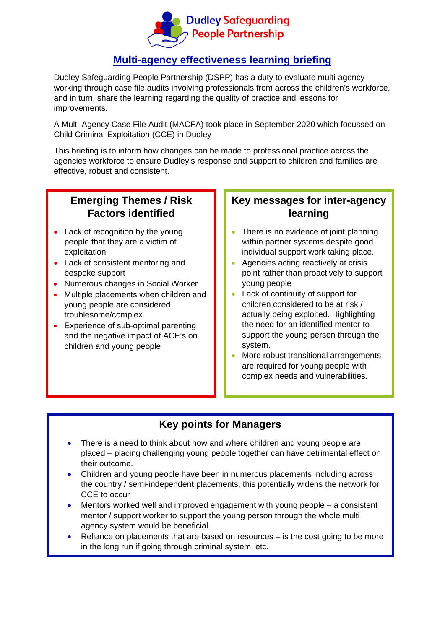

## **Multi-agency effectiveness learning briefing**

Dudley Safeguarding People Partnership (DSPP) has a duty to evaluate multi-agency working through case file audits involving professionals from across the children's workforce, and in turn, share the learning regarding the quality of practice and lessons for improvements.

A Multi-Agency Case File Audit (MACFA) took place in September 2020 which focussed on Child Criminal Exploitation (CCE) in Dudley

This briefing is to inform how changes can be made to professional practice across the agencies workforce to ensure Dudley's response and support to children and families are effective, robust and consistent.

## **Emerging Themes / Risk Factors identified**

- Lack of recognition by the young people that they are a victim of exploitation
- Lack of consistent mentoring and bespoke support
- Numerous changes in Social Worker
- Multiple placements when children and young people are considered troublesome/complex
- Experience of sub-optimal parenting and the negative impact of ACE's on children and young people

## **Key messages for inter-agency learning**

- There is no evidence of joint planning within partner systems despite good individual support work taking place.
- Agencies acting reactively at crisis point rather than proactively to support young people
- Lack of continuity of support for children considered to be at risk / actually being exploited. Highlighting the need for an identified mentor to support the young person through the system.
- More robust transitional arrangements are required for young people with complex needs and vulnerabilities.

### **Key points for Managers**

- There is a need to think about how and where children and young people are placed – placing challenging young people together can have detrimental effect on their outcome.
- Children and young people have been in numerous placements including across the country / semi-independent placements, this potentially widens the network for CCE to occur
- Mentors worked well and improved engagement with young people a consistent mentor / support worker to support the young person through the whole multi agency system would be beneficial.
- Reliance on placements that are based on resources is the cost going to be more in the long run if going through criminal system, etc.